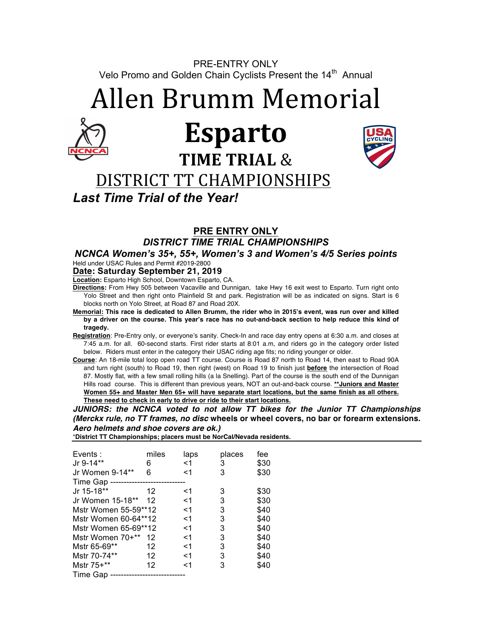PRE-ENTRY ONLY Velo Promo and Golden Chain Cyclists Present the 14<sup>th</sup> Annual

Allen Brumm Memorial



# **Esparto TIME TRIAL &**



# DISTRICT TT CHAMPIONSHIPS

*Last Time Trial of the Year!*

## **PRE ENTRY ONLY**

*DISTRICT TIME TRIAL CHAMPIONSHIPS* 

*NCNCA Women's 35+, 55+, Women's 3 and Women's 4/5 Series points*  Held under USAC Rules and Permit #2019-2800

### **Date: Saturday September 21, 2019**

**Location:** Esparto High School, Downtown Esparto, CA.

**Directions:** From Hwy 505 between Vacaville and Dunnigan, take Hwy 16 exit west to Esparto. Turn right onto Yolo Street and then right onto Plainfield St and park. Registration will be as indicated on signs. Start is 6 blocks north on Yolo Street, at Road 87 and Road 20X.

- **Memorial: This race is dedicated to Allen Brumm, the rider who in 2015's event, was run over and killed by a driver on the course. This year's race has no out-and-back section to help reduce this kind of tragedy.**
- **Registration**: Pre-Entry only, or everyone's sanity. Check-In and race day entry opens at 6:30 a.m. and closes at 7:45 a.m. for all. 60-second starts. First rider starts at 8:01 a.m, and riders go in the category order listed below. Riders must enter in the category their USAC riding age fits; no riding younger or older.
- **Course**: An 18-mile total loop open road TT course. Course is Road 87 north to Road 14, then east to Road 90A and turn right (south) to Road 19, then right (west) on Road 19 to finish just **before** the intersection of Road 87. Mostly flat, with a few small rolling hills (a la Snelling). Part of the course is the south end of the Dunnigan Hills road course. This is different than previous years, NOT an out-and-back course. **\*\*Juniors and Master Women 55+ and Master Men 65+ will have separate start locations, but the same finish as all others. These need to check in early to drive or ride to their start locations.**

*JUNIORS: the NCNCA voted to not allow TT bikes for the Junior TT Championships (Merckx rule, no TT frames, no disc* **wheels or wheel covers, no bar or forearm extensions.** *Aero helmets and shoe covers are ok.)*  \***District TT Championships; placers must be NorCal/Nevada residents.**

| District TT Championships, placers must be nor callice rada resident |       |        |      |  |  |  |  |
|----------------------------------------------------------------------|-------|--------|------|--|--|--|--|
|                                                                      |       |        |      |  |  |  |  |
| miles                                                                | laps  | places | fee  |  |  |  |  |
|                                                                      | $<$ 1 | 3      | \$30 |  |  |  |  |
| ิค                                                                   | <1    | 3      | \$30 |  |  |  |  |
|                                                                      |       |        |      |  |  |  |  |
| 12                                                                   | <1    | 3      | \$30 |  |  |  |  |
| 12                                                                   | <1    | 3      | \$30 |  |  |  |  |
|                                                                      |       |        |      |  |  |  |  |

| Mstr Women 55-59**12 |    | $<$ 1 | 3 | \$40 |
|----------------------|----|-------|---|------|
| Mstr Women 60-64**12 |    | <1    | 3 | \$40 |
| Mstr Women 65-69**12 |    | <1    | 3 | \$40 |
| Mstr Women 70+** 12  |    | <1    | 3 | \$40 |
| Mstr 65-69**         | 12 | <1    | 3 | \$40 |
| Mstr 70-74**         | 12 | $<$ 1 | 3 | \$40 |
| Mstr 75+**           | 12 | <1    | 3 | \$40 |
| Time Gap             |    |       |   |      |